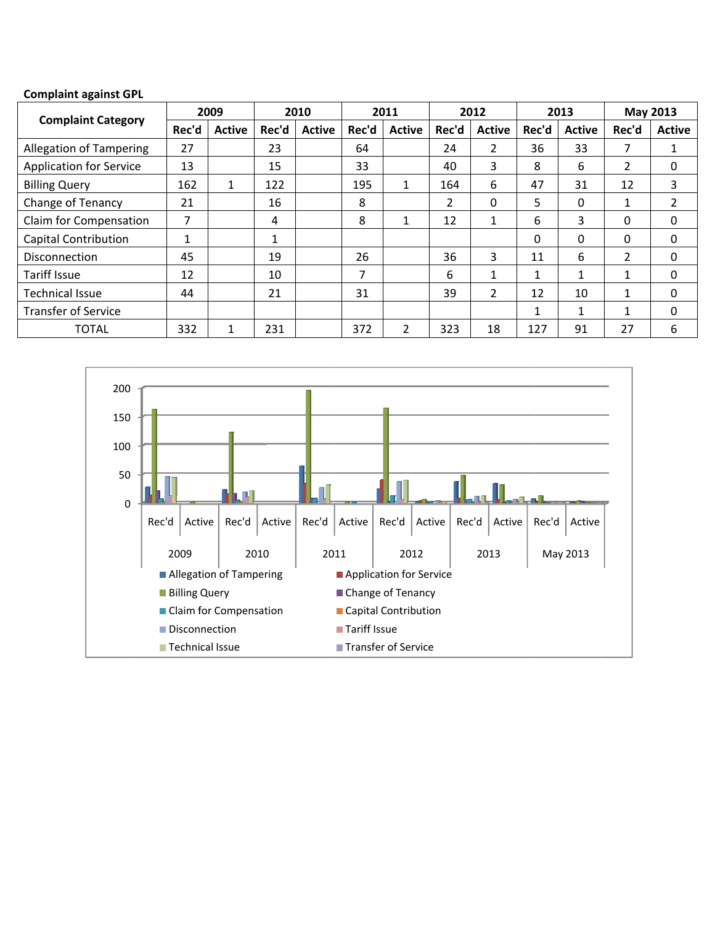## **Complaint against GPL**

| <b>Complaint Category</b>      |       | 2009          |       | 2010          |       | 2011           |       | 2012           |                      | 2013          |                | May 2013      |
|--------------------------------|-------|---------------|-------|---------------|-------|----------------|-------|----------------|----------------------|---------------|----------------|---------------|
|                                | Rec'd | <b>Active</b> | Rec'd | <b>Active</b> | Rec'd | <b>Active</b>  | Rec'd | <b>Active</b>  | Rec'd                | <b>Active</b> | Rec'd          | <b>Active</b> |
| <b>Allegation of Tampering</b> | 27    |               | 23    |               | 64    |                | 24    | $\overline{2}$ | 36                   | 33            | 7              | 1             |
| <b>Application for Service</b> | 13    |               | 15    |               | 33    |                | 40    | 3              | 8                    | 6             | 2              | 0             |
| <b>Billing Query</b>           | 162   | $\mathbf{1}$  | 122   |               | 195   | 1              | 164   | 6              | 47                   | 31            | 12             | 3             |
| Change of Tenancy              | 21    |               | 16    |               | 8     |                | 2     | 0              | 5                    | 0             |                | 2             |
| Claim for Compensation         | 7     |               | 4     |               | 8     | 1              | 12    | $\mathbf{1}$   | 6                    | 3             | 0              | 0             |
| <b>Capital Contribution</b>    |       |               | 1     |               |       |                |       |                | 0                    | 0             | 0              | 0             |
| <b>Disconnection</b>           | 45    |               | 19    |               | 26    |                | 36    | 3              | 11                   | 6             | $\overline{2}$ | 0             |
| Tariff Issue                   | 12    |               | 10    |               | 7     |                | 6     | $\mathbf{1}$   | 1                    | $\mathbf{1}$  | 1              | 0             |
| <b>Technical Issue</b>         | 44    |               | 21    |               | 31    |                | 39    | $\overline{2}$ | 12                   | 10            | 1              | 0             |
| <b>Transfer of Service</b>     |       |               |       |               |       |                |       |                | $\blacktriangleleft$ | $\mathbf{1}$  | 1              | 0             |
| <b>TOTAL</b>                   | 332   | 1             | 231   |               | 372   | $\overline{2}$ | 323   | 18             | 127                  | 91            | 27             | 6             |

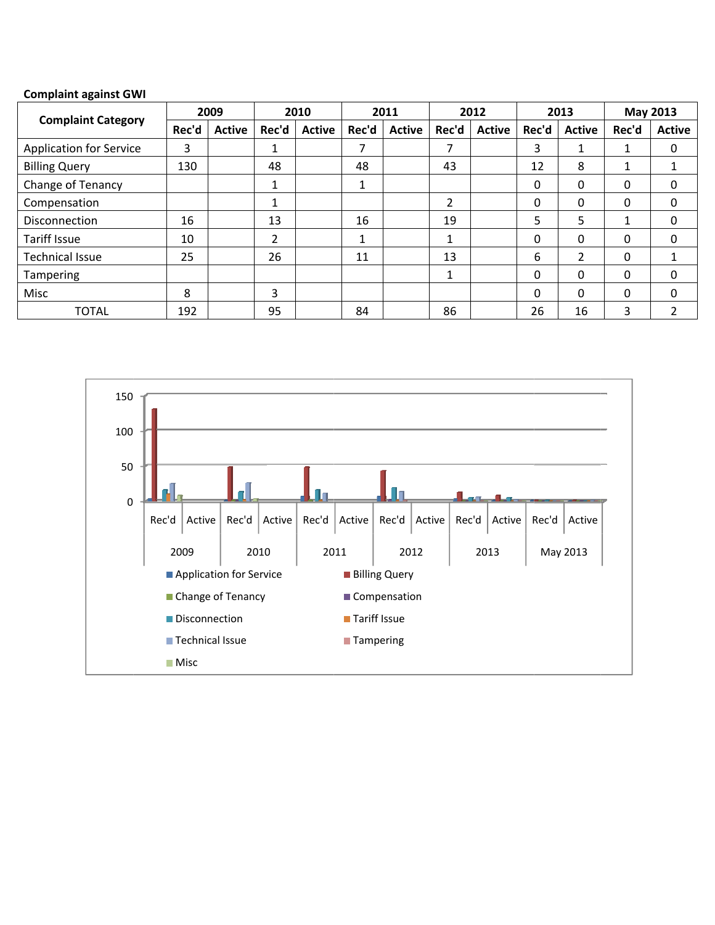## **Complaint against GWI**

|                                |       | 2009          |         | 2010          |       | 2011          |                | 2012          |          | 2013          | Rec'd<br>0<br>0<br>0<br>0<br>0<br>0<br>3 | May 2013      |
|--------------------------------|-------|---------------|---------|---------------|-------|---------------|----------------|---------------|----------|---------------|------------------------------------------|---------------|
| <b>Complaint Category</b>      | Rec'd | <b>Active</b> | Rec'd   | <b>Active</b> | Rec'd | <b>Active</b> | Rec'd          | <b>Active</b> | Rec'd    | <b>Active</b> |                                          | <b>Active</b> |
| <b>Application for Service</b> | 3     |               | 4<br>Ŧ. |               | 7     |               | 7              |               | 3        |               |                                          | 0             |
| <b>Billing Query</b>           | 130   |               | 48      |               | 48    |               | 43             |               | 12       | 8             |                                          |               |
| Change of Tenancy              |       |               | Ŧ.      |               |       |               |                |               | 0        | 0             |                                          | 0             |
| Compensation                   |       |               | 1<br>Ŧ. |               |       |               | $\overline{2}$ |               | 0        | 0             |                                          | 0             |
| <b>Disconnection</b>           | 16    |               | 13      |               | 16    |               | 19             |               | 5        | 5             |                                          | 0             |
| <b>Tariff Issue</b>            | 10    |               | 2       |               | 1     |               | $\mathbf{1}$   |               | 0        | 0             |                                          | 0             |
| <b>Technical Issue</b>         | 25    |               | 26      |               | 11    |               | 13             |               | 6        | 2             |                                          |               |
| <b>Tampering</b>               |       |               |         |               |       |               | 1              |               | 0        | 0             |                                          | 0             |
| Misc                           | 8     |               | 3       |               |       |               |                |               | $\Omega$ | 0             |                                          | 0             |
| <b>TOTAL</b>                   | 192   |               | 95      |               | 84    |               | 86             |               | 26       | 16            |                                          |               |

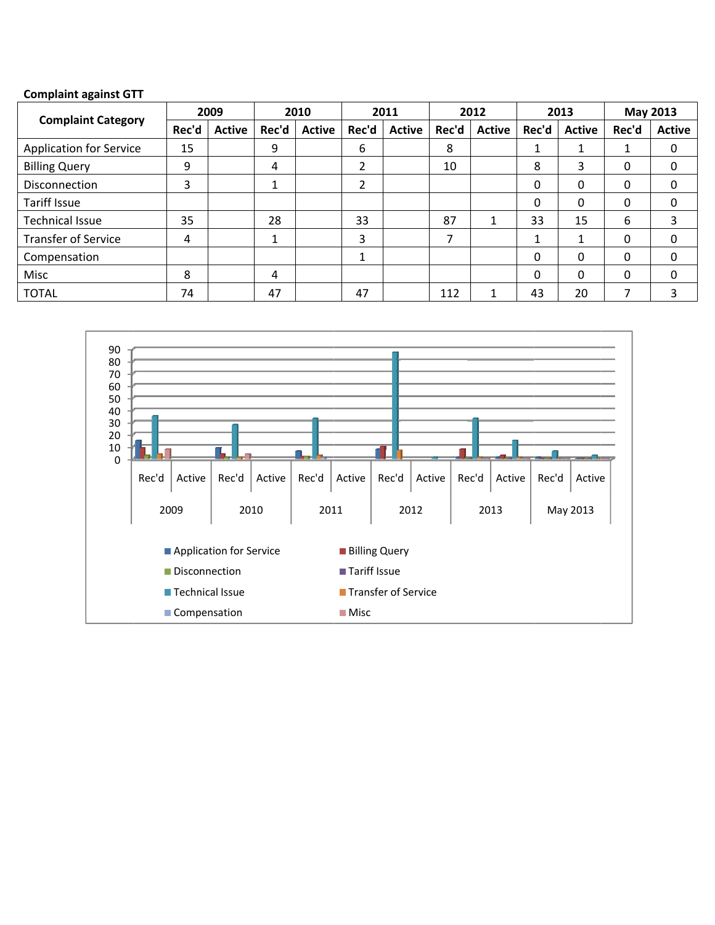## **Complaint against GTT**

|                                |       | 2009          |         | 2010          |       | 2011          |       | 2012          |       | 2013          | Rec'd<br>0<br>0<br>0<br>6<br>0<br>0 | May 2013      |
|--------------------------------|-------|---------------|---------|---------------|-------|---------------|-------|---------------|-------|---------------|-------------------------------------|---------------|
| <b>Complaint Category</b>      | Rec'd | <b>Active</b> | Rec'd   | <b>Active</b> | Rec'd | <b>Active</b> | Rec'd | <b>Active</b> | Rec'd | <b>Active</b> |                                     | <b>Active</b> |
| <b>Application for Service</b> | 15    |               | 9       |               | 6     |               | 8     |               |       |               |                                     | 0             |
| <b>Billing Query</b>           | 9     |               | 4       |               | 2     |               | 10    |               | 8     | 3             |                                     | 0             |
| <b>Disconnection</b>           | 3     |               | 1       |               | 2     |               |       |               | 0     | 0             |                                     | 0             |
| Tariff Issue                   |       |               |         |               |       |               |       |               | 0     | 0             |                                     | 0             |
| <b>Technical Issue</b>         | 35    |               | 28      |               | 33    |               | 87    | Ŧ.            | 33    | 15            |                                     | 3             |
| <b>Transfer of Service</b>     | 4     |               | 1<br>ш. |               | 3     |               | 7     |               |       |               |                                     | 0             |
| Compensation                   |       |               |         |               |       |               |       |               | 0     | 0             |                                     | 0             |
| Misc                           | 8     |               | 4       |               |       |               |       |               | 0     | 0             |                                     | 0             |
| <b>TOTAL</b>                   | 74    |               | 47      |               | 47    |               | 112   |               | 43    | 20            |                                     |               |

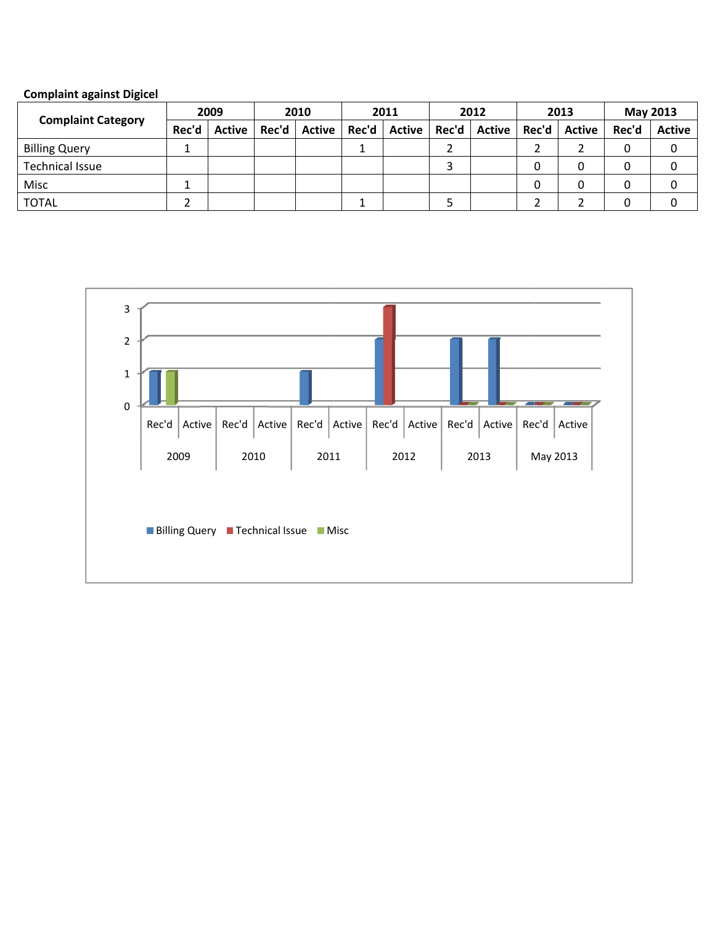| <b>Complaint against Digicel</b> |  |
|----------------------------------|--|
|                                  |  |

| <b>Complaint Category</b> | 2009  |               | 2010  |        | 2011 |                | 2012  |                         | 2013 |  | May 2013 |               |
|---------------------------|-------|---------------|-------|--------|------|----------------|-------|-------------------------|------|--|----------|---------------|
|                           | Rec'd | <b>Active</b> | Rec'd | Active |      | Rec'd   Active | Rec'd | Active   Rec'd   Active |      |  | Rec'd    | <b>Active</b> |
| <b>Billing Query</b>      |       |               |       |        |      |                |       |                         |      |  |          |               |
| <b>Technical Issue</b>    |       |               |       |        |      |                |       |                         |      |  |          |               |
| Misc                      |       |               |       |        |      |                |       |                         |      |  |          |               |
| <b>TOTAL</b>              |       |               |       |        |      |                |       |                         |      |  |          |               |